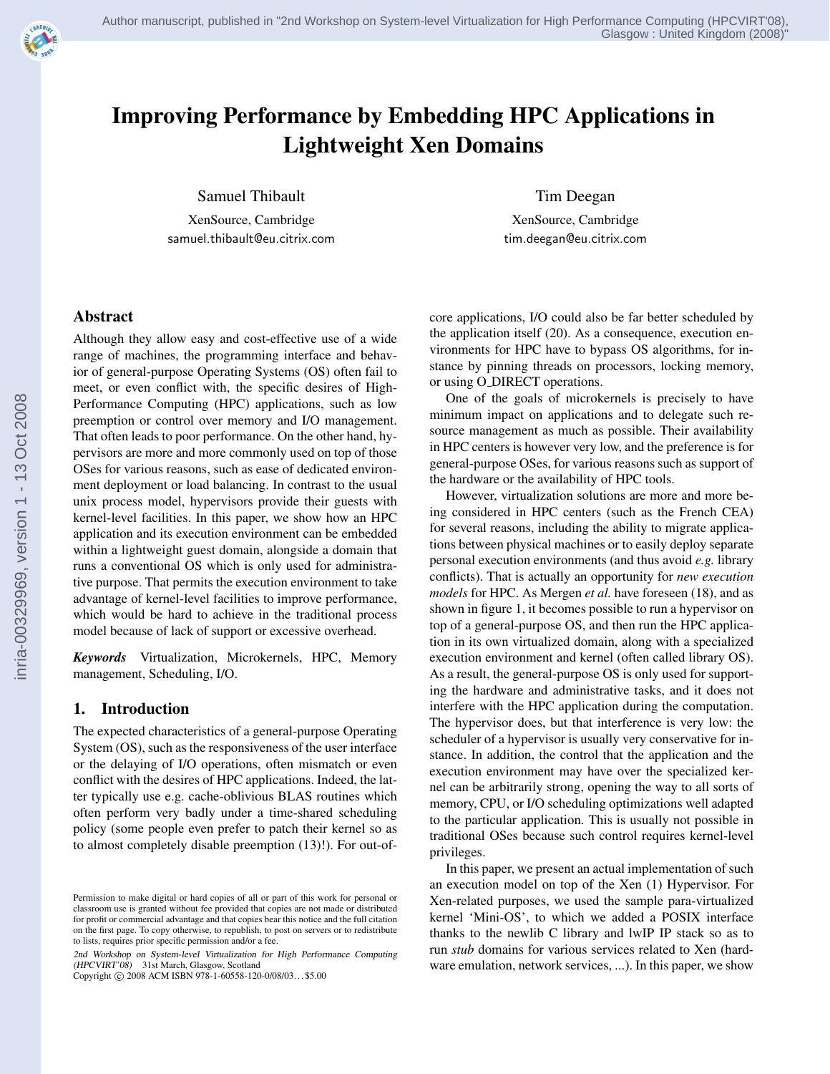

# Improving Performance by Embedding HPC Applications in Lightweight Xen Domains

Samuel Thibault

XenSource, Cambridge samuel.thibault@eu.citrix.com Tim Deegan

XenSource, Cambridge tim.deegan@eu.citrix.com

## Abstract

Although they allow easy and cost-effective use of a wide range of machines, the programming interface and behavior of general-purpose Operating Systems (OS) often fail to meet, or even conflict with, the specific desires of High-Performance Computing (HPC) applications, such as low preemption or control over memory and I/O management. That often leads to poor performance. On the other hand, hypervisors are more and more commonly used on top of those OSes for various reasons, such as ease of dedicated environment deployment or load balancing. In contrast to the usual unix process model, hypervisors provide their guests with kernel-level facilities. In this paper, we show how an HPC application and its execution environment can be embedded within a lightweight guest domain, alongside a domain that runs a conventional OS which is only used for administrative purpose. That permits the execution environment to take advantage of kernel-level facilities to improve performance, which would be hard to achieve in the traditional process model because of lack of support or excessive overhead.

*Keywords* Virtualization, Microkernels, HPC, Memory management, Scheduling, I/O.

#### 1. Introduction

The expected characteristics of a general-purpose Operating System (OS), such as the responsiveness of the user interface or the delaying of I/O operations, often mismatch or even conflict with the desires of HPC applications. Indeed, the latter typically use e.g. cache-oblivious BLAS routines which often perform very badly under a time-shared scheduling policy (some people even prefer to patch their kernel so as to almost completely disable preemption (13)!). For out-of-

Copyright © 2008 ACM ISBN 978-1-60558-120-0/08/03... \$5.00

core applications, I/O could also be far better scheduled by the application itself (20). As a consequence, execution environments for HPC have to bypass OS algorithms, for instance by pinning threads on processors, locking memory, or using O DIRECT operations.

One of the goals of microkernels is precisely to have minimum impact on applications and to delegate such resource management as much as possible. Their availability in HPC centers is however very low, and the preference is for general-purpose OSes, for various reasons such as support of the hardware or the availability of HPC tools.

However, virtualization solutions are more and more being considered in HPC centers (such as the French CEA) for several reasons, including the ability to migrate applications between physical machines or to easily deploy separate personal execution environments (and thus avoid *e.g.* library conflicts). That is actually an opportunity for *new execution models* for HPC. As Mergen *et al.* have foreseen (18), and as shown in figure 1, it becomes possible to run a hypervisor on top of a general-purpose OS, and then run the HPC application in its own virtualized domain, along with a specialized execution environment and kernel (often called library OS). As a result, the general-purpose OS is only used for supporting the hardware and administrative tasks, and it does not interfere with the HPC application during the computation. The hypervisor does, but that interference is very low: the scheduler of a hypervisor is usually very conservative for instance. In addition, the control that the application and the execution environment may have over the specialized kernel can be arbitrarily strong, opening the way to all sorts of memory, CPU, or I/O scheduling optimizations well adapted to the particular application. This is usually not possible in traditional OSes because such control requires kernel-level privileges.

In this paper, we present an actual implementation of such an execution model on top of the Xen (1) Hypervisor. For Xen-related purposes, we used the sample para-virtualized kernel 'Mini-OS', to which we added a POSIX interface thanks to the newlib C library and lwIP IP stack so as to run *stub* domains for various services related to Xen (hardware emulation, network services, ...). In this paper, we show

Permission to make digital or hard copies of all or part of this work for personal or classroom use is granted without fee provided that copies are not made or distributed for profit or commercial advantage and that copies bear this notice and the full citation on the first page. To copy otherwise, to republish, to post on servers or to redistribute to lists, requires prior specific permission and/or a fee.

<sup>2</sup>nd Workshop on System-level Virtualization for High Performance Computing (HPCVIRT'08) 31st March, Glasgow, Scotland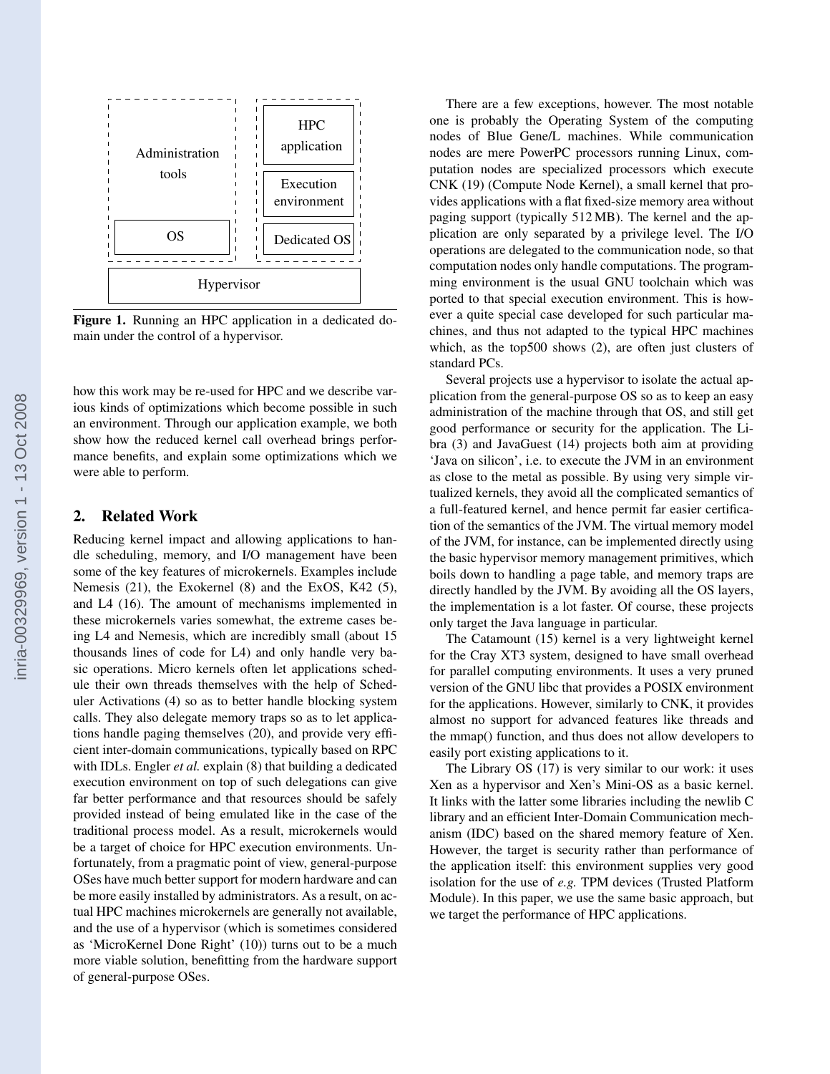

Figure 1. Running an HPC application in a dedicated domain under the control of a hypervisor.

how this work may be re-used for HPC and we describe various kinds of optimizations which become possible in such an environment. Through our application example, we both show how the reduced kernel call overhead brings performance benefits, and explain some optimizations which we were able to perform.

### 2. Related Work

Reducing kernel impact and allowing applications to handle scheduling, memory, and I/O management have been some of the key features of microkernels. Examples include Nemesis (21), the Exokernel (8) and the ExOS, K42 (5), and L4 (16). The amount of mechanisms implemented in these microkernels varies somewhat, the extreme cases being L4 and Nemesis, which are incredibly small (about 15 thousands lines of code for L4) and only handle very basic operations. Micro kernels often let applications schedule their own threads themselves with the help of Scheduler Activations (4) so as to better handle blocking system calls. They also delegate memory traps so as to let applications handle paging themselves (20), and provide very efficient inter-domain communications, typically based on RPC with IDLs. Engler *et al.* explain (8) that building a dedicated execution environment on top of such delegations can give far better performance and that resources should be safely provided instead of being emulated like in the case of the traditional process model. As a result, microkernels would be a target of choice for HPC execution environments. Unfortunately, from a pragmatic point of view, general-purpose OSes have much better support for modern hardware and can be more easily installed by administrators. As a result, on actual HPC machines microkernels are generally not available, and the use of a hypervisor (which is sometimes considered as 'MicroKernel Done Right' (10)) turns out to be a much more viable solution, benefitting from the hardware support of general-purpose OSes.

There are a few exceptions, however. The most notable one is probably the Operating System of the computing nodes of Blue Gene/L machines. While communication nodes are mere PowerPC processors running Linux, computation nodes are specialized processors which execute CNK (19) (Compute Node Kernel), a small kernel that provides applications with a flat fixed-size memory area without paging support (typically 512 MB). The kernel and the application are only separated by a privilege level. The I/O operations are delegated to the communication node, so that computation nodes only handle computations. The programming environment is the usual GNU toolchain which was ported to that special execution environment. This is however a quite special case developed for such particular machines, and thus not adapted to the typical HPC machines which, as the top500 shows (2), are often just clusters of standard PCs.

Several projects use a hypervisor to isolate the actual application from the general-purpose OS so as to keep an easy administration of the machine through that OS, and still get good performance or security for the application. The Libra (3) and JavaGuest (14) projects both aim at providing 'Java on silicon', i.e. to execute the JVM in an environment as close to the metal as possible. By using very simple virtualized kernels, they avoid all the complicated semantics of a full-featured kernel, and hence permit far easier certification of the semantics of the JVM. The virtual memory model of the JVM, for instance, can be implemented directly using the basic hypervisor memory management primitives, which boils down to handling a page table, and memory traps are directly handled by the JVM. By avoiding all the OS layers, the implementation is a lot faster. Of course, these projects only target the Java language in particular.

The Catamount (15) kernel is a very lightweight kernel for the Cray XT3 system, designed to have small overhead for parallel computing environments. It uses a very pruned version of the GNU libc that provides a POSIX environment for the applications. However, similarly to CNK, it provides almost no support for advanced features like threads and the mmap() function, and thus does not allow developers to easily port existing applications to it.

The Library OS (17) is very similar to our work: it uses Xen as a hypervisor and Xen's Mini-OS as a basic kernel. It links with the latter some libraries including the newlib C library and an efficient Inter-Domain Communication mechanism (IDC) based on the shared memory feature of Xen. However, the target is security rather than performance of the application itself: this environment supplies very good isolation for the use of *e.g.* TPM devices (Trusted Platform Module). In this paper, we use the same basic approach, but we target the performance of HPC applications.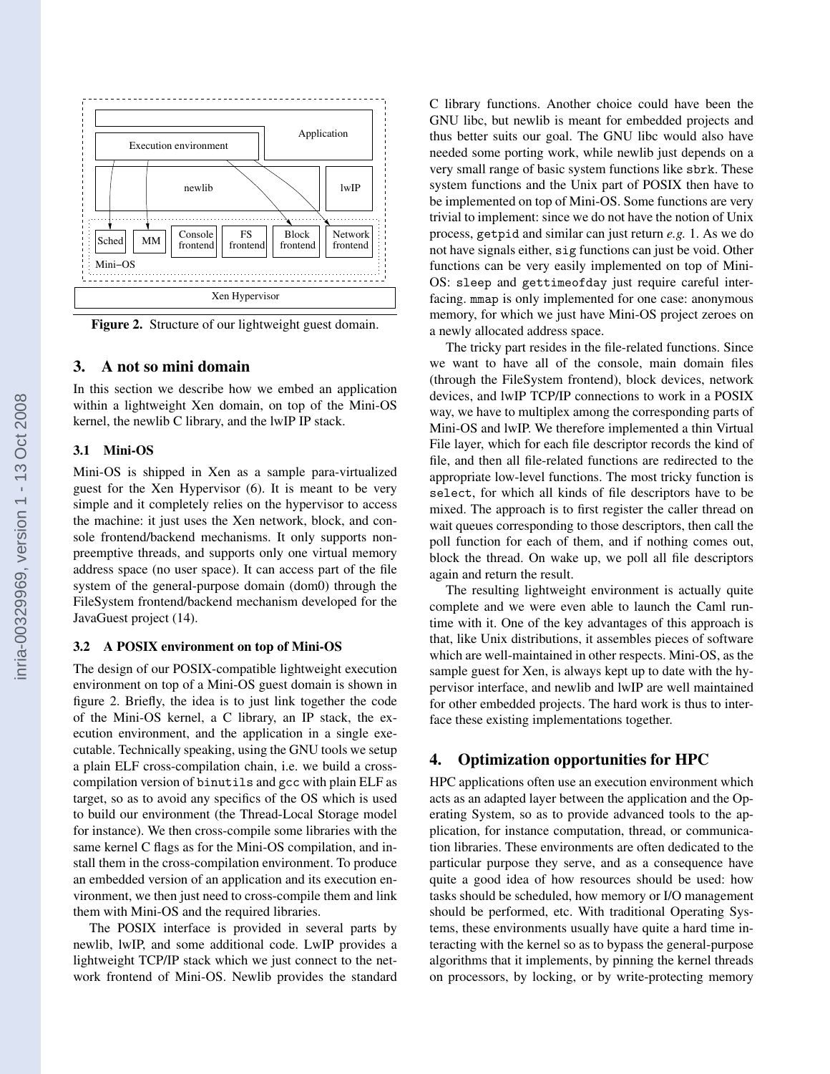

Figure 2. Structure of our lightweight guest domain.

## 3. A not so mini domain

In this section we describe how we embed an application within a lightweight Xen domain, on top of the Mini-OS kernel, the newlib C library, and the lwIP IP stack.

#### 3.1 Mini-OS

Mini-OS is shipped in Xen as a sample para-virtualized guest for the Xen Hypervisor (6). It is meant to be very simple and it completely relies on the hypervisor to access the machine: it just uses the Xen network, block, and console frontend/backend mechanisms. It only supports nonpreemptive threads, and supports only one virtual memory address space (no user space). It can access part of the file system of the general-purpose domain (dom0) through the FileSystem frontend/backend mechanism developed for the JavaGuest project (14).

#### 3.2 A POSIX environment on top of Mini-OS

The design of our POSIX-compatible lightweight execution environment on top of a Mini-OS guest domain is shown in figure 2. Briefly, the idea is to just link together the code of the Mini-OS kernel, a C library, an IP stack, the execution environment, and the application in a single executable. Technically speaking, using the GNU tools we setup a plain ELF cross-compilation chain, i.e. we build a crosscompilation version of binutils and gcc with plain ELF as target, so as to avoid any specifics of the OS which is used to build our environment (the Thread-Local Storage model for instance). We then cross-compile some libraries with the same kernel C flags as for the Mini-OS compilation, and install them in the cross-compilation environment. To produce an embedded version of an application and its execution environment, we then just need to cross-compile them and link them with Mini-OS and the required libraries.

The POSIX interface is provided in several parts by newlib, lwIP, and some additional code. LwIP provides a lightweight TCP/IP stack which we just connect to the network frontend of Mini-OS. Newlib provides the standard C library functions. Another choice could have been the GNU libc, but newlib is meant for embedded projects and thus better suits our goal. The GNU libc would also have needed some porting work, while newlib just depends on a very small range of basic system functions like sbrk. These system functions and the Unix part of POSIX then have to be implemented on top of Mini-OS. Some functions are very trivial to implement: since we do not have the notion of Unix process, getpid and similar can just return *e.g.* 1. As we do not have signals either, sig functions can just be void. Other functions can be very easily implemented on top of Mini-OS: sleep and gettimeofday just require careful interfacing. mmap is only implemented for one case: anonymous memory, for which we just have Mini-OS project zeroes on a newly allocated address space.

The tricky part resides in the file-related functions. Since we want to have all of the console, main domain files (through the FileSystem frontend), block devices, network devices, and lwIP TCP/IP connections to work in a POSIX way, we have to multiplex among the corresponding parts of Mini-OS and lwIP. We therefore implemented a thin Virtual File layer, which for each file descriptor records the kind of file, and then all file-related functions are redirected to the appropriate low-level functions. The most tricky function is select, for which all kinds of file descriptors have to be mixed. The approach is to first register the caller thread on wait queues corresponding to those descriptors, then call the poll function for each of them, and if nothing comes out, block the thread. On wake up, we poll all file descriptors again and return the result.

The resulting lightweight environment is actually quite complete and we were even able to launch the Caml runtime with it. One of the key advantages of this approach is that, like Unix distributions, it assembles pieces of software which are well-maintained in other respects. Mini-OS, as the sample guest for Xen, is always kept up to date with the hypervisor interface, and newlib and lwIP are well maintained for other embedded projects. The hard work is thus to interface these existing implementations together.

# 4. Optimization opportunities for HPC

HPC applications often use an execution environment which acts as an adapted layer between the application and the Operating System, so as to provide advanced tools to the application, for instance computation, thread, or communication libraries. These environments are often dedicated to the particular purpose they serve, and as a consequence have quite a good idea of how resources should be used: how tasks should be scheduled, how memory or I/O management should be performed, etc. With traditional Operating Systems, these environments usually have quite a hard time interacting with the kernel so as to bypass the general-purpose algorithms that it implements, by pinning the kernel threads on processors, by locking, or by write-protecting memory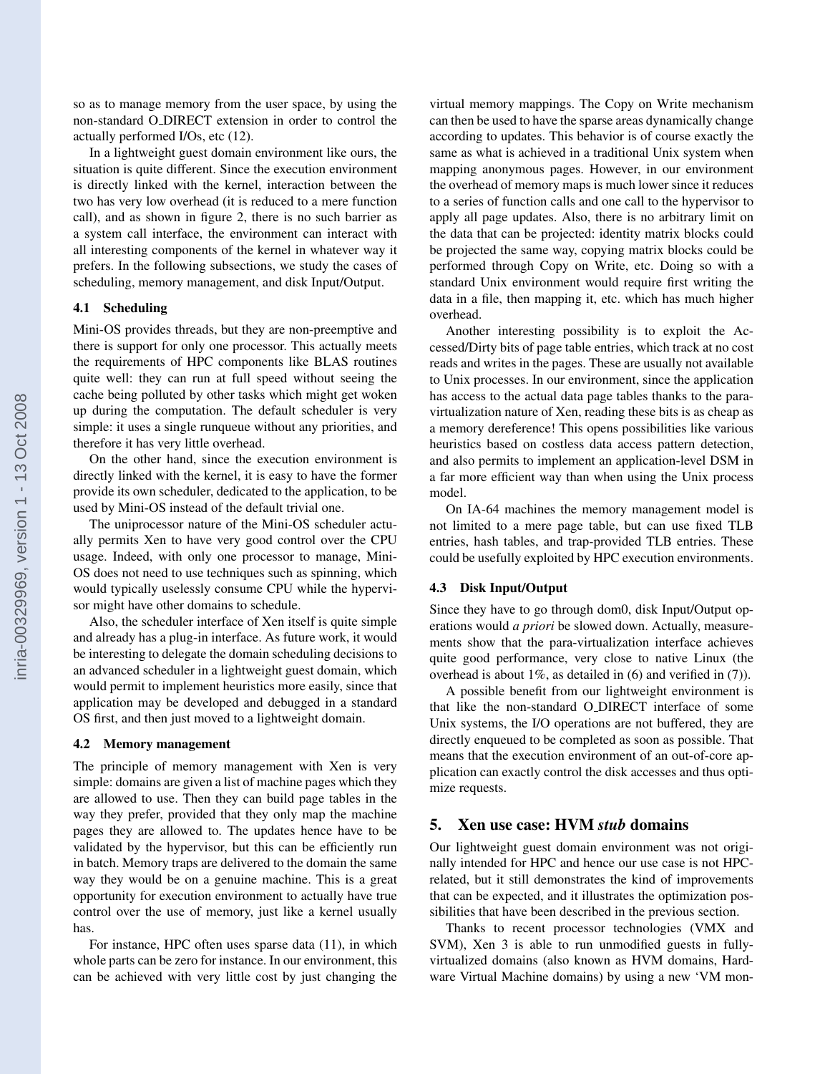In a lightweight guest domain environment like ours, the situation is quite different. Since the execution environment is directly linked with the kernel, interaction between the two has very low overhead (it is reduced to a mere function call), and as shown in figure 2, there is no such barrier as a system call interface, the environment can interact with all interesting components of the kernel in whatever way it prefers. In the following subsections, we study the cases of scheduling, memory management, and disk Input/Output.

#### 4.1 Scheduling

Mini-OS provides threads, but they are non-preemptive and there is support for only one processor. This actually meets the requirements of HPC components like BLAS routines quite well: they can run at full speed without seeing the cache being polluted by other tasks which might get woken up during the computation. The default scheduler is very simple: it uses a single runqueue without any priorities, and therefore it has very little overhead.

On the other hand, since the execution environment is directly linked with the kernel, it is easy to have the former provide its own scheduler, dedicated to the application, to be used by Mini-OS instead of the default trivial one.

The uniprocessor nature of the Mini-OS scheduler actually permits Xen to have very good control over the CPU usage. Indeed, with only one processor to manage, Mini-OS does not need to use techniques such as spinning, which would typically uselessly consume CPU while the hypervisor might have other domains to schedule.

Also, the scheduler interface of Xen itself is quite simple and already has a plug-in interface. As future work, it would be interesting to delegate the domain scheduling decisions to an advanced scheduler in a lightweight guest domain, which would permit to implement heuristics more easily, since that application may be developed and debugged in a standard OS first, and then just moved to a lightweight domain.

#### 4.2 Memory management

The principle of memory management with Xen is very simple: domains are given a list of machine pages which they are allowed to use. Then they can build page tables in the way they prefer, provided that they only map the machine pages they are allowed to. The updates hence have to be validated by the hypervisor, but this can be efficiently run in batch. Memory traps are delivered to the domain the same way they would be on a genuine machine. This is a great opportunity for execution environment to actually have true control over the use of memory, just like a kernel usually has.

For instance, HPC often uses sparse data (11), in which whole parts can be zero for instance. In our environment, this can be achieved with very little cost by just changing the

virtual memory mappings. The Copy on Write mechanism can then be used to have the sparse areas dynamically change according to updates. This behavior is of course exactly the same as what is achieved in a traditional Unix system when mapping anonymous pages. However, in our environment the overhead of memory maps is much lower since it reduces to a series of function calls and one call to the hypervisor to apply all page updates. Also, there is no arbitrary limit on the data that can be projected: identity matrix blocks could be projected the same way, copying matrix blocks could be performed through Copy on Write, etc. Doing so with a standard Unix environment would require first writing the data in a file, then mapping it, etc. which has much higher overhead.

Another interesting possibility is to exploit the Accessed/Dirty bits of page table entries, which track at no cost reads and writes in the pages. These are usually not available to Unix processes. In our environment, since the application has access to the actual data page tables thanks to the paravirtualization nature of Xen, reading these bits is as cheap as a memory dereference! This opens possibilities like various heuristics based on costless data access pattern detection, and also permits to implement an application-level DSM in a far more efficient way than when using the Unix process model.

On IA-64 machines the memory management model is not limited to a mere page table, but can use fixed TLB entries, hash tables, and trap-provided TLB entries. These could be usefully exploited by HPC execution environments.

## 4.3 Disk Input/Output

Since they have to go through dom0, disk Input/Output operations would *a priori* be slowed down. Actually, measurements show that the para-virtualization interface achieves quite good performance, very close to native Linux (the overhead is about 1%, as detailed in (6) and verified in (7)).

A possible benefit from our lightweight environment is that like the non-standard O DIRECT interface of some Unix systems, the I/O operations are not buffered, they are directly enqueued to be completed as soon as possible. That means that the execution environment of an out-of-core application can exactly control the disk accesses and thus optimize requests.

#### 5. Xen use case: HVM *stub* domains

Our lightweight guest domain environment was not originally intended for HPC and hence our use case is not HPCrelated, but it still demonstrates the kind of improvements that can be expected, and it illustrates the optimization possibilities that have been described in the previous section.

Thanks to recent processor technologies (VMX and SVM), Xen 3 is able to run unmodified guests in fullyvirtualized domains (also known as HVM domains, Hardware Virtual Machine domains) by using a new 'VM mon-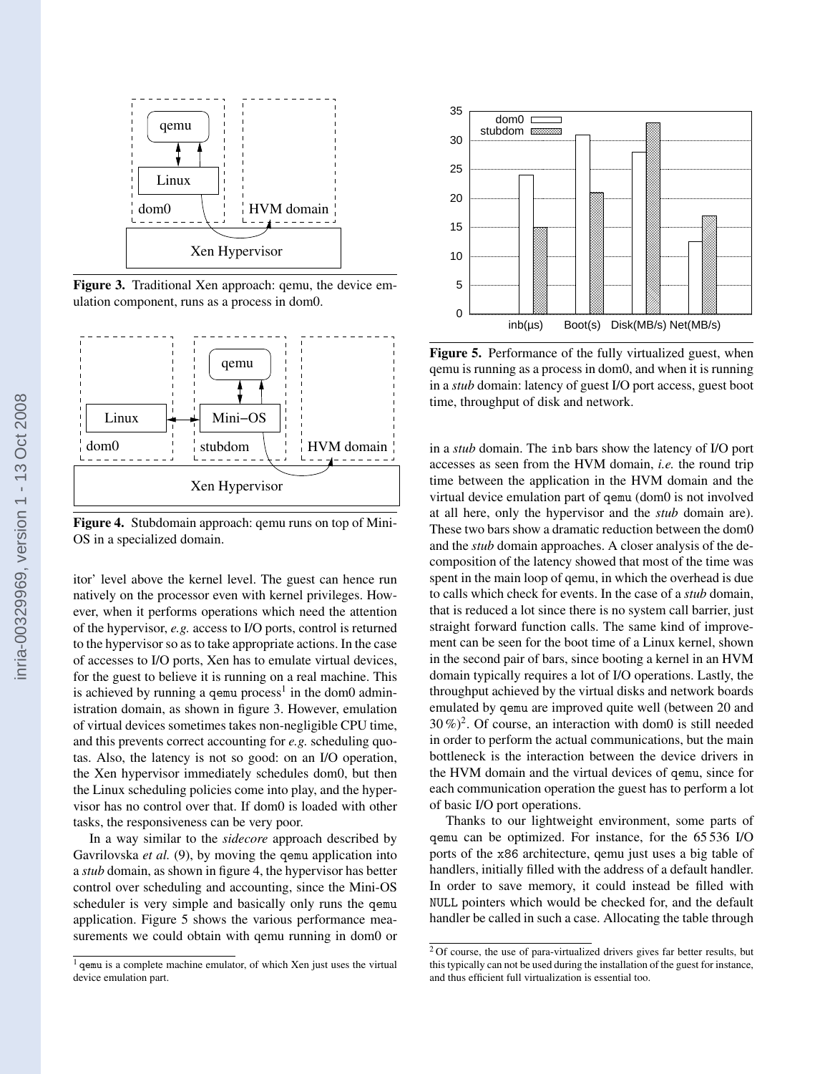

Figure 3. Traditional Xen approach: qemu, the device emulation component, runs as a process in dom0.



Figure 4. Stubdomain approach: qemu runs on top of Mini-OS in a specialized domain.

itor' level above the kernel level. The guest can hence run natively on the processor even with kernel privileges. However, when it performs operations which need the attention of the hypervisor, *e.g.* access to I/O ports, control is returned to the hypervisor so as to take appropriate actions. In the case of accesses to I/O ports, Xen has to emulate virtual devices, for the guest to believe it is running on a real machine. This is achieved by running a qemu process<sup>1</sup> in the dom0 administration domain, as shown in figure 3. However, emulation of virtual devices sometimes takes non-negligible CPU time, and this prevents correct accounting for *e.g.* scheduling quotas. Also, the latency is not so good: on an I/O operation, the Xen hypervisor immediately schedules dom0, but then the Linux scheduling policies come into play, and the hypervisor has no control over that. If dom0 is loaded with other tasks, the responsiveness can be very poor.

In a way similar to the *sidecore* approach described by Gavrilovska *et al.* (9), by moving the gemu application into a *stub* domain, as shown in figure 4, the hypervisor has better control over scheduling and accounting, since the Mini-OS scheduler is very simple and basically only runs the qemu application. Figure 5 shows the various performance measurements we could obtain with qemu running in dom0 or



Figure 5. Performance of the fully virtualized guest, when qemu is running as a process in dom0, and when it is running in a *stub* domain: latency of guest I/O port access, guest boot time, throughput of disk and network.

in a *stub* domain. The inb bars show the latency of I/O port accesses as seen from the HVM domain, *i.e.* the round trip time between the application in the HVM domain and the virtual device emulation part of qemu (dom0 is not involved at all here, only the hypervisor and the *stub* domain are). These two bars show a dramatic reduction between the dom0 and the *stub* domain approaches. A closer analysis of the decomposition of the latency showed that most of the time was spent in the main loop of qemu, in which the overhead is due to calls which check for events. In the case of a *stub* domain, that is reduced a lot since there is no system call barrier, just straight forward function calls. The same kind of improvement can be seen for the boot time of a Linux kernel, shown in the second pair of bars, since booting a kernel in an HVM domain typically requires a lot of I/O operations. Lastly, the throughput achieved by the virtual disks and network boards emulated by qemu are improved quite well (between 20 and  $30\,\%$ <sup>2</sup>. Of course, an interaction with dom0 is still needed in order to perform the actual communications, but the main bottleneck is the interaction between the device drivers in the HVM domain and the virtual devices of qemu, since for each communication operation the guest has to perform a lot of basic I/O port operations.

Thanks to our lightweight environment, some parts of qemu can be optimized. For instance, for the 65 536 I/O ports of the x86 architecture, qemu just uses a big table of handlers, initially filled with the address of a default handler. In order to save memory, it could instead be filled with NULL pointers which would be checked for, and the default handler be called in such a case. Allocating the table through

 $<sup>1</sup>$  qemu is a complete machine emulator, of which Xen just uses the virtual</sup> device emulation part.

<sup>2</sup> Of course, the use of para-virtualized drivers gives far better results, but this typically can not be used during the installation of the guest for instance, and thus efficient full virtualization is essential too.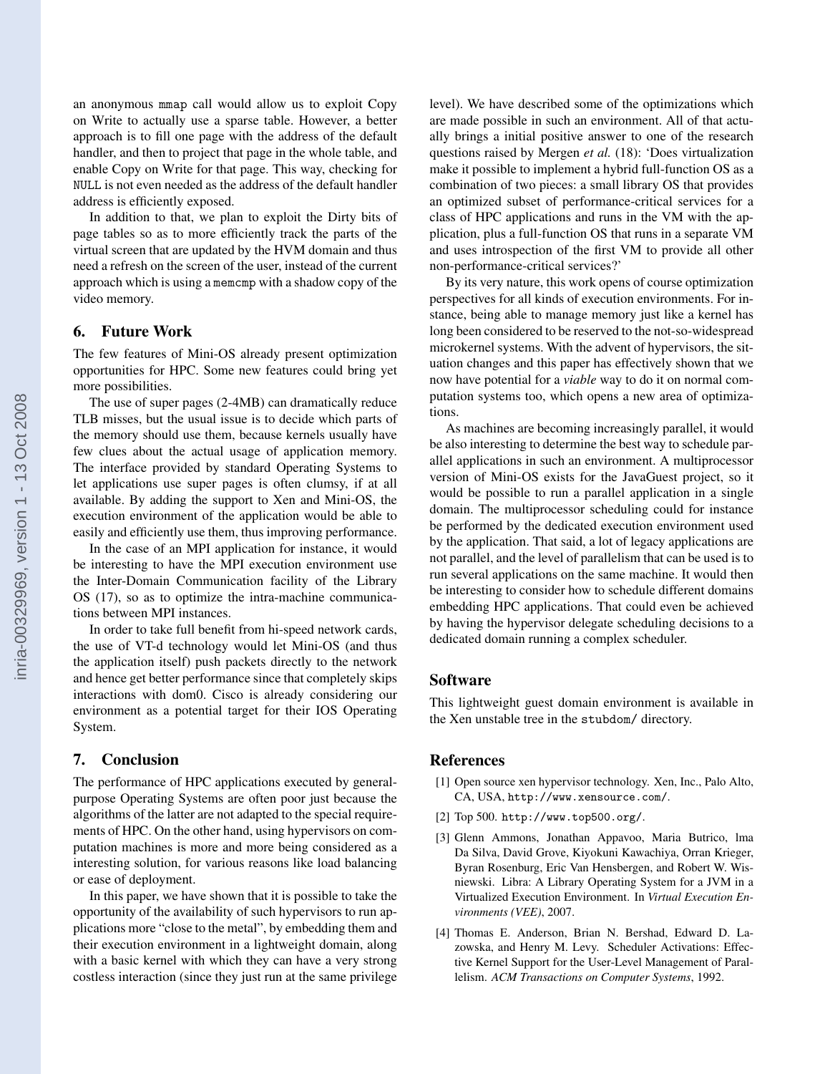an anonymous mmap call would allow us to exploit Copy on Write to actually use a sparse table. However, a better approach is to fill one page with the address of the default handler, and then to project that page in the whole table, and enable Copy on Write for that page. This way, checking for NULL is not even needed as the address of the default handler address is efficiently exposed.

In addition to that, we plan to exploit the Dirty bits of page tables so as to more efficiently track the parts of the virtual screen that are updated by the HVM domain and thus need a refresh on the screen of the user, instead of the current approach which is using a memcmp with a shadow copy of the video memory.

# 6. Future Work

The few features of Mini-OS already present optimization opportunities for HPC. Some new features could bring yet more possibilities.

The use of super pages (2-4MB) can dramatically reduce TLB misses, but the usual issue is to decide which parts of the memory should use them, because kernels usually have few clues about the actual usage of application memory. The interface provided by standard Operating Systems to let applications use super pages is often clumsy, if at all available. By adding the support to Xen and Mini-OS, the execution environment of the application would be able to easily and efficiently use them, thus improving performance.

In the case of an MPI application for instance, it would be interesting to have the MPI execution environment use the Inter-Domain Communication facility of the Library OS (17), so as to optimize the intra-machine communications between MPI instances.

In order to take full benefit from hi-speed network cards, the use of VT-d technology would let Mini-OS (and thus the application itself) push packets directly to the network and hence get better performance since that completely skips interactions with dom0. Cisco is already considering our environment as a potential target for their IOS Operating System.

# 7. Conclusion

The performance of HPC applications executed by generalpurpose Operating Systems are often poor just because the algorithms of the latter are not adapted to the special requirements of HPC. On the other hand, using hypervisors on computation machines is more and more being considered as a interesting solution, for various reasons like load balancing or ease of deployment.

In this paper, we have shown that it is possible to take the opportunity of the availability of such hypervisors to run applications more "close to the metal", by embedding them and their execution environment in a lightweight domain, along with a basic kernel with which they can have a very strong costless interaction (since they just run at the same privilege level). We have described some of the optimizations which are made possible in such an environment. All of that actually brings a initial positive answer to one of the research questions raised by Mergen *et al.* (18): 'Does virtualization make it possible to implement a hybrid full-function OS as a combination of two pieces: a small library OS that provides an optimized subset of performance-critical services for a class of HPC applications and runs in the VM with the application, plus a full-function OS that runs in a separate VM and uses introspection of the first VM to provide all other non-performance-critical services?'

By its very nature, this work opens of course optimization perspectives for all kinds of execution environments. For instance, being able to manage memory just like a kernel has long been considered to be reserved to the not-so-widespread microkernel systems. With the advent of hypervisors, the situation changes and this paper has effectively shown that we now have potential for a *viable* way to do it on normal computation systems too, which opens a new area of optimizations.

As machines are becoming increasingly parallel, it would be also interesting to determine the best way to schedule parallel applications in such an environment. A multiprocessor version of Mini-OS exists for the JavaGuest project, so it would be possible to run a parallel application in a single domain. The multiprocessor scheduling could for instance be performed by the dedicated execution environment used by the application. That said, a lot of legacy applications are not parallel, and the level of parallelism that can be used is to run several applications on the same machine. It would then be interesting to consider how to schedule different domains embedding HPC applications. That could even be achieved by having the hypervisor delegate scheduling decisions to a dedicated domain running a complex scheduler.

#### Software

This lightweight guest domain environment is available in the Xen unstable tree in the stubdom/ directory.

# References

- [1] Open source xen hypervisor technology. Xen, Inc., Palo Alto, CA, USA, http://www.xensource.com/.
- [2] Top 500. http://www.top500.org/.
- [3] Glenn Ammons, Jonathan Appavoo, Maria Butrico, lma Da Silva, David Grove, Kiyokuni Kawachiya, Orran Krieger, Byran Rosenburg, Eric Van Hensbergen, and Robert W. Wisniewski. Libra: A Library Operating System for a JVM in a Virtualized Execution Environment. In *Virtual Execution Environments (VEE)*, 2007.
- [4] Thomas E. Anderson, Brian N. Bershad, Edward D. Lazowska, and Henry M. Levy. Scheduler Activations: Effective Kernel Support for the User-Level Management of Parallelism. *ACM Transactions on Computer Systems*, 1992.